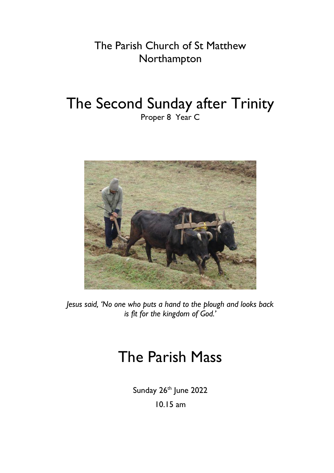The Parish Church of St Matthew Northampton

# The Second Sunday after Trinity Proper 8 Year C



*Jesus said, 'No one who puts a hand to the plough and looks back is fit for the kingdom of God.'*

# The Parish Mass

Sunday 26<sup>th</sup> June 2022 10.15 am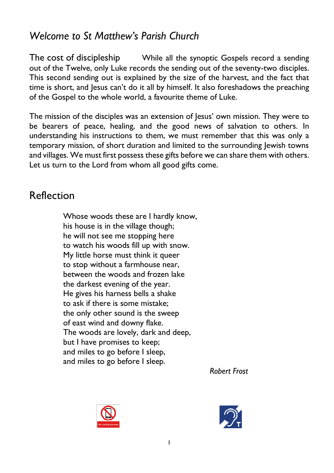### *Welcome to St Matthew's Parish Church*

The cost of discipleship While all the synoptic Gospels record a sending out of the Twelve, only Luke records the sending out of the seventy-two disciples. This second sending out is explained by the size of the harvest, and the fact that time is short, and Jesus can't do it all by himself. It also foreshadows the preaching of the Gospel to the whole world, a favourite theme of Luke.

The mission of the disciples was an extension of Jesus' own mission. They were to be bearers of peace, healing, and the good news of salvation to others. In understanding his instructions to them, we must remember that this was only a temporary mission, of short duration and limited to the surrounding Jewish towns and villages. We must first possess these gifts before we can share them with others. Let us turn to the Lord from whom all good gifts come.

### Reflection

Whose woods these are I hardly know, his house is in the village though; he will not see me stopping here to watch his woods fill up with snow. My little horse must think it queer to stop without a farmhouse near, between the woods and frozen lake the darkest evening of the year. He gives his harness bells a shake to ask if there is some mistake; the only other sound is the sweep of east wind and downy flake. The woods are lovely, dark and deep, but I have promises to keep; and miles to go before I sleep, and miles to go before I sleep.

*Robert Frost*



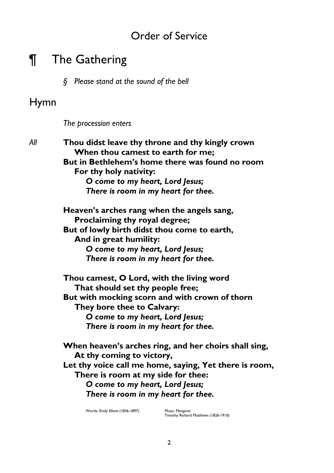### Order of Service

## ¶ The Gathering

*§ Please stand at the sound of the bell*

### Hymn

*The procession enters*

*All* **Thou didst leave thy throne and thy kingly crown When thou camest to earth for me; But in Bethlehem's home there was found no room For thy holy nativity:** *O come to my heart, Lord Jesus; There is room in my heart for thee.*

> **Heaven's arches rang when the angels sang, Proclaiming thy royal degree; But of lowly birth didst thou come to earth, And in great humility:** *O come to my heart, Lord Jesus;*

*There is room in my heart for thee.*

**Thou camest, O Lord, with the living word That should set thy people free; But with mocking scorn and with crown of thorn They bore thee to Calvary:** *O come to my heart, Lord Jesus; There is room in my heart for thee.*

**When heaven's arches ring, and her choirs shall sing, At thy coming to victory, Let thy voice call me home, saying, Yet there is room, There is room at my side for thee:** *O come to my heart, Lord Jesus; There is room in my heart for thee.*

Words: Emily Elliott (1836-1897) Music: Margaret

Timothy Richard Matthews (1826-1910)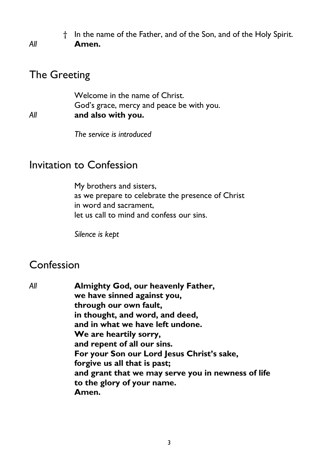† In the name of the Father, and of the Son, and of the Holy Spirit. *All* **Amen.**

### The Greeting

Welcome in the name of Christ. God's grace, mercy and peace be with you. *All* **and also with you.**

*The service is introduced*

#### Invitation to Confession

My brothers and sisters, as we prepare to celebrate the presence of Christ in word and sacrament, let us call to mind and confess our sins.

*Silence is kept*

### Confession

*All* **Almighty God, our heavenly Father, we have sinned against you, through our own fault, in thought, and word, and deed, and in what we have left undone. We are heartily sorry, and repent of all our sins. For your Son our Lord Jesus Christ's sake, forgive us all that is past; and grant that we may serve you in newness of life to the glory of your name. Amen.**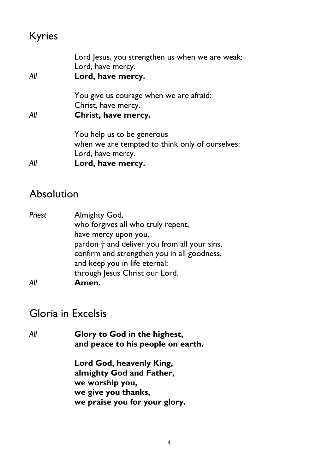# Kyries

| Αll | Lord Jesus, you strengthen us when we are weak:<br>Lord, have mercy.<br>Lord, have mercy.                               |
|-----|-------------------------------------------------------------------------------------------------------------------------|
| All | You give us courage when we are afraid:<br>Christ, have mercy.<br>Christ, have mercy.                                   |
| Αll | You help us to be generous<br>when we are tempted to think only of ourselves:<br>Lord, have mercy.<br>Lord, have mercy. |

### Absolution

| Priest | Almighty God,                                |
|--------|----------------------------------------------|
|        | who forgives all who truly repent,           |
|        | have mercy upon you,                         |
|        | pardon † and deliver you from all your sins, |
|        | confirm and strengthen you in all goodness,  |
|        | and keep you in life eternal;                |
|        | through Jesus Christ our Lord.               |
| Αll    | Amen.                                        |

### Gloria in Excelsis

*All* **Glory to God in the highest, and peace to his people on earth.**

> **Lord God, heavenly King, almighty God and Father, we worship you, we give you thanks, we praise you for your glory.**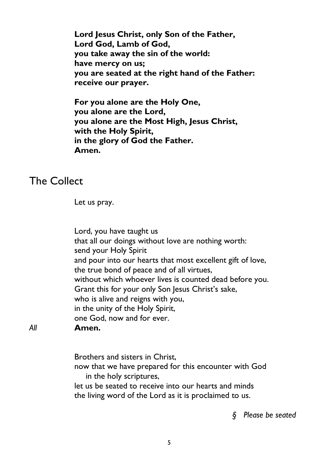**Lord Jesus Christ, only Son of the Father, Lord God, Lamb of God, you take away the sin of the world: have mercy on us; you are seated at the right hand of the Father: receive our prayer.**

**For you alone are the Holy One, you alone are the Lord, you alone are the Most High, Jesus Christ, with the Holy Spirit, in the glory of God the Father. Amen.**

#### The Collect

Let us pray.

Lord, you have taught us that all our doings without love are nothing worth: send your Holy Spirit and pour into our hearts that most excellent gift of love, the true bond of peace and of all virtues, without which whoever lives is counted dead before you. Grant this for your only Son Jesus Christ's sake, who is alive and reigns with you, in the unity of the Holy Spirit, one God, now and for ever.

*All* **Amen.**

Brothers and sisters in Christ,

now that we have prepared for this encounter with God in the holy scriptures,

let us be seated to receive into our hearts and minds the living word of the Lord as it is proclaimed to us.

*§ Please be seated*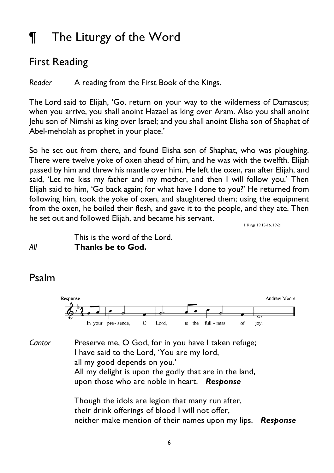# ¶ The Liturgy of the Word

### First Reading

*Reader* A reading from the First Book of the Kings.

The Lord said to Elijah, 'Go, return on your way to the wilderness of Damascus; when you arrive, you shall anoint Hazael as king over Aram. Also you shall anoint Jehu son of Nimshi as king over Israel; and you shall anoint Elisha son of Shaphat of Abel-meholah as prophet in your place.'

So he set out from there, and found Elisha son of Shaphat, who was ploughing. There were twelve yoke of oxen ahead of him, and he was with the twelfth. Elijah passed by him and threw his mantle over him. He left the oxen, ran after Elijah, and said, 'Let me kiss my father and my mother, and then I will follow you.' Then Elijah said to him, 'Go back again; for what have I done to you?' He returned from following him, took the yoke of oxen, and slaughtered them; using the equipment from the oxen, he boiled their flesh, and gave it to the people, and they ate. Then he set out and followed Elijah, and became his servant.

1 Kings 19.15-16, 19-21

#### This is the word of the Lord. *All* **Thanks be to God.**

### Psalm



Cantor Preserve me, O God, for in you have I taken refuge; I have said to the Lord, 'You are my lord, all my good depends on you.' All my delight is upon the godly that are in the land, upon those who are noble in heart. *Response*

 Though the idols are legion that many run after, their drink offerings of blood I will not offer, neither make mention of their names upon my lips. *Response*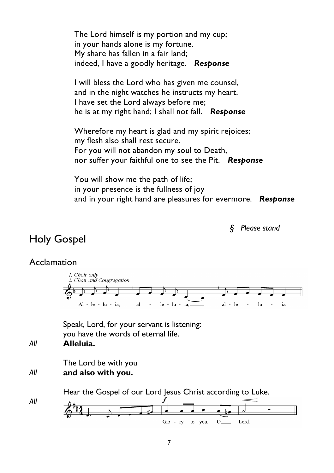The Lord himself is my portion and my cup; in your hands alone is my fortune. My share has fallen in a fair land; indeed, I have a goodly heritage. *Response*

 I will bless the Lord who has given me counsel, and in the night watches he instructs my heart. I have set the Lord always before me; he is at my right hand; I shall not fall. *Response*

 Wherefore my heart is glad and my spirit rejoices; my flesh also shall rest secure. For you will not abandon my soul to Death, nor suffer your faithful one to see the Pit. *Response*

 You will show me the path of life; in your presence is the fullness of joy and in your right hand are pleasures for evermore. *Response*

*§ Please stand*

### Holy Gospel

#### **Acclamation**



Speak, Lord, for your servant is listening: you have the words of eternal life.

*All* **Alleluia.**

*All*

The Lord be with you *All* **and also with you.**

Hear the Gospel of our Lord Jesus Christ according to Luke.

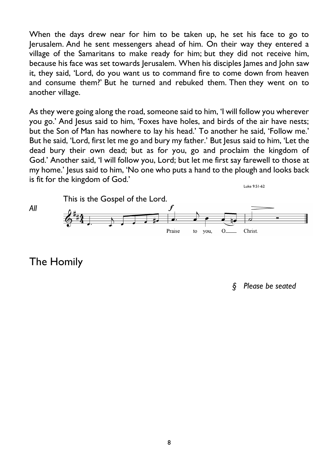When the days drew near for him to be taken up, he set his face to go to Jerusalem. And he sent messengers ahead of him. On their way they entered a village of the Samaritans to make ready for him; but they did not receive him, because his face was set towards Jerusalem. When his disciples James and John saw it, they said, 'Lord, do you want us to command fire to come down from heaven and consume them?' But he turned and rebuked them. Then they went on to another village.

As they were going along the road, someone said to him, 'I will follow you wherever you go.' And Jesus said to him, 'Foxes have holes, and birds of the air have nests; but the Son of Man has nowhere to lay his head.' To another he said, 'Follow me.' But he said, 'Lord, first let me go and bury my father.' But Jesus said to him, 'Let the dead bury their own dead; but as for you, go and proclaim the kingdom of God.' Another said, 'I will follow you, Lord; but let me first say farewell to those at my home.' Jesus said to him, 'No one who puts a hand to the plough and looks back is fit for the kingdom of God.' Luke 9.51-62



The Homily

*§ Please be seated*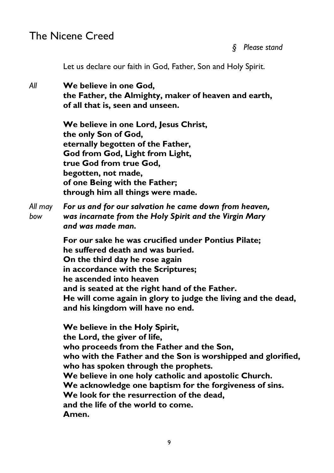#### The Nicene Creed

*§ Please stand*

Let us declare our faith in God, Father, Son and Holy Spirit.

*All* **We believe in one God, the Father, the Almighty, maker of heaven and earth, of all that is, seen and unseen.**

> **We believe in one Lord, Jesus Christ, the only Son of God, eternally begotten of the Father, God from God, Light from Light, true God from true God, begotten, not made, of one Being with the Father; through him all things were made.**

*All may For us and for our salvation he came down from heaven, bow was incarnate from the Holy Spirit and the Virgin Mary and was made man.*

> **For our sake he was crucified under Pontius Pilate; he suffered death and was buried. On the third day he rose again in accordance with the Scriptures; he ascended into heaven and is seated at the right hand of the Father. He will come again in glory to judge the living and the dead, and his kingdom will have no end.**

**We believe in the Holy Spirit, the Lord, the giver of life, who proceeds from the Father and the Son, who with the Father and the Son is worshipped and glorified, who has spoken through the prophets. We believe in one holy catholic and apostolic Church. We acknowledge one baptism for the forgiveness of sins. We look for the resurrection of the dead, and the life of the world to come. Amen.**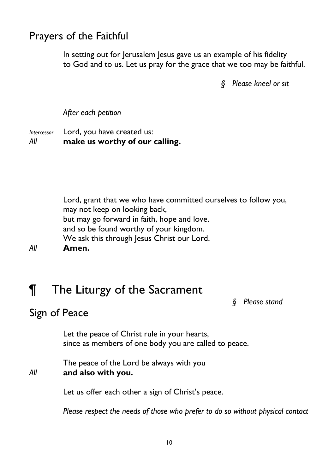### Prayers of the Faithful

In setting out for Jerusalem Jesus gave us an example of his fidelity to God and to us. Let us pray for the grace that we too may be faithful.

*§ Please kneel or sit*

*After each petition*

*Intercessor* Lord, you have created us: *All* **make us worthy of our calling.**

Lord, grant that we who have committed ourselves to follow you, may not keep on looking back, but may go forward in faith, hope and love, and so be found worthy of your kingdom. We ask this through Jesus Christ our Lord. *All* **Amen.**

# ¶ The Liturgy of the Sacrament

*§ Please stand*

### Sign of Peace

Let the peace of Christ rule in your hearts, since as members of one body you are called to peace.

The peace of the Lord be always with you *All* **and also with you.**

Let us offer each other a sign of Christ's peace.

*Please respect the needs of those who prefer to do so without physical contact*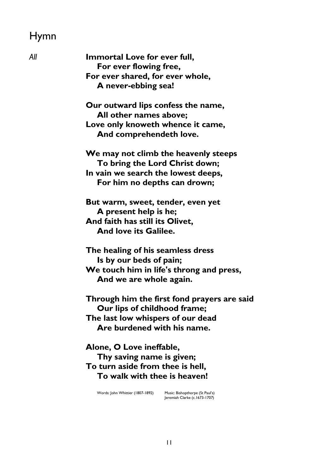## Hymn

| All | Immortal Love for ever full,                                                                         |
|-----|------------------------------------------------------------------------------------------------------|
|     | For ever flowing free,                                                                               |
|     | For ever shared, for ever whole,                                                                     |
|     | A never-ebbing sea!                                                                                  |
|     | Our outward lips confess the name,                                                                   |
|     | All other names above;                                                                               |
|     | Love only knoweth whence it came,                                                                    |
|     | And comprehendeth love.                                                                              |
|     | We may not climb the heavenly steeps                                                                 |
|     | To bring the Lord Christ down;                                                                       |
|     | In vain we search the lowest deeps,                                                                  |
|     | For him no depths can drown;                                                                         |
|     | But warm, sweet, tender, even yet                                                                    |
|     | A present help is he;                                                                                |
|     | And faith has still its Olivet,                                                                      |
|     | And love its Galilee.                                                                                |
|     | The healing of his seamless dress                                                                    |
|     | Is by our beds of pain;                                                                              |
|     | We touch him in life's throng and press,                                                             |
|     | And we are whole again.                                                                              |
|     | Through him the first fond prayers are said                                                          |
|     | Our lips of childhood frame;                                                                         |
|     | The last low whispers of our dead                                                                    |
|     | Are burdened with his name.                                                                          |
|     | Alone, O Love ineffable,                                                                             |
|     | Thy saving name is given;                                                                            |
|     | To turn aside from thee is hell,                                                                     |
|     | To walk with thee is heaven!                                                                         |
|     | Words: John Whittier (1807-1892)<br>Music: Bishopthorpe (St Paul's)<br>Jeremiah Clarke (c.1673-1707) |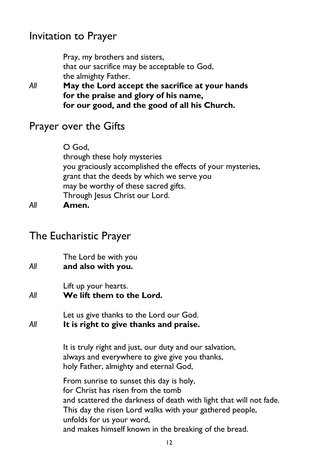### Invitation to Prayer

Pray, my brothers and sisters, that our sacrifice may be acceptable to God, the almighty Father.

*All* **May the Lord accept the sacrifice at your hands for the praise and glory of his name, for our good, and the good of all his Church.**

#### Prayer over the Gifts

O God, through these holy mysteries you graciously accomplished the effects of your mysteries, grant that the deeds by which we serve you may be worthy of these sacred gifts. Through Jesus Christ our Lord.

*All* **Amen.**

#### The Eucharistic Prayer

The Lord be with you

*All* **and also with you.**

Lift up your hearts.

*All* **We lift them to the Lord.**

Let us give thanks to the Lord our God. *All* **It is right to give thanks and praise.**

> It is truly right and just, our duty and our salvation, always and everywhere to give give you thanks, holy Father, almighty and eternal God,

From sunrise to sunset this day is holy, for Christ has risen from the tomb and scattered the darkness of death with light that will not fade. This day the risen Lord walks with your gathered people, unfolds for us your word, and makes himself known in the breaking of the bread.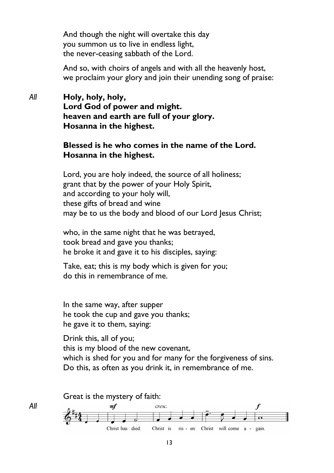And though the night will overtake this day you summon us to live in endless light, the never-ceasing sabbath of the Lord.

And so, with choirs of angels and with all the heavenly host, we proclaim your glory and join their unending song of praise:

#### *All* **Holy, holy, holy, Lord God of power and might. heaven and earth are full of your glory. Hosanna in the highest.**

#### **Blessed is he who comes in the name of the Lord. Hosanna in the highest.**

Lord, you are holy indeed, the source of all holiness; grant that by the power of your Holy Spirit, and according to your holy will, these gifts of bread and wine may be to us the body and blood of our Lord Jesus Christ;

who, in the same night that he was betrayed, took bread and gave you thanks; he broke it and gave it to his disciples, saying:

Take, eat; this is my body which is given for you; do this in remembrance of me.

In the same way, after supper he took the cup and gave you thanks; he gave it to them, saying:

*All*

Drink this, all of you; this is my blood of the new covenant, which is shed for you and for many for the forgiveness of sins. Do this, as often as you drink it, in remembrance of me.

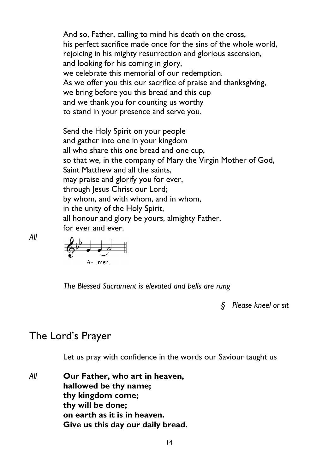And so, Father, calling to mind his death on the cross, his perfect sacrifice made once for the sins of the whole world, rejoicing in his mighty resurrection and glorious ascension, and looking for his coming in glory, we celebrate this memorial of our redemption. As we offer you this our sacrifice of praise and thanksgiving, we bring before you this bread and this cup and we thank you for counting us worthy to stand in your presence and serve you.

Send the Holy Spirit on your people and gather into one in your kingdom all who share this one bread and one cup, so that we, in the company of Mary the Virgin Mother of God, Saint Matthew and all the saints, may praise and glorify you for ever, through Jesus Christ our Lord; by whom, and with whom, and in whom, in the unity of the Holy Spirit, all honour and glory be yours, almighty Father, for ever and ever.

A- men

*The Blessed Sacrament is elevated and bells are rung*

*§ Please kneel or sit*

#### The Lord's Prayer

*All*

Let us pray with confidence in the words our Saviour taught us

*All* **Our Father, who art in heaven, hallowed be thy name; thy kingdom come; thy will be done; on earth as it is in heaven. Give us this day our daily bread.**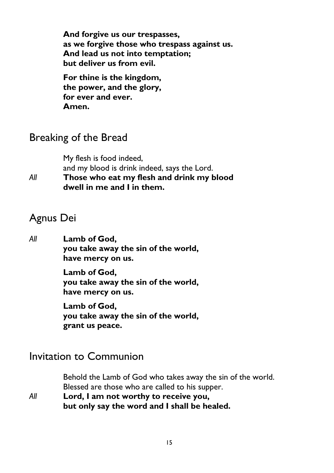**And forgive us our trespasses, as we forgive those who trespass against us. And lead us not into temptation; but deliver us from evil.**

**For thine is the kingdom, the power, and the glory, for ever and ever. Amen.**

### Breaking of the Bread

My flesh is food indeed, and my blood is drink indeed, says the Lord.

*All* **Those who eat my flesh and drink my blood dwell in me and I in them.**

### Agnus Dei

*All* **Lamb of God, you take away the sin of the world, have mercy on us.**

> **Lamb of God, you take away the sin of the world, have mercy on us.**

> **Lamb of God, you take away the sin of the world, grant us peace.**

### Invitation to Communion

Behold the Lamb of God who takes away the sin of the world. Blessed are those who are called to his supper. *All* **Lord, I am not worthy to receive you,**

**but only say the word and I shall be healed.**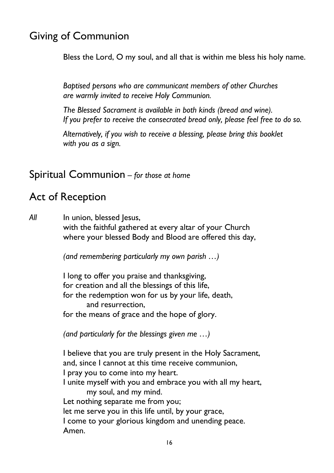### Giving of Communion

Bless the Lord, O my soul, and all that is within me bless his holy name.

*Baptised persons who are communicant members of other Churches are warmly invited to receive Holy Communion.*

*The Blessed Sacrament is available in both kinds (bread and wine). If you prefer to receive the consecrated bread only, please feel free to do so.*

*Alternatively, if you wish to receive a blessing, please bring this booklet with you as a sign.*

#### Spiritual Communion – *for those at home*

### Act of Reception

*All* In union, blessed Jesus, with the faithful gathered at every altar of your Church where your blessed Body and Blood are offered this day,

*(and remembering particularly my own parish …)* 

I long to offer you praise and thanksgiving, for creation and all the blessings of this life, for the redemption won for us by your life, death, and resurrection, for the means of grace and the hope of glory.

*(and particularly for the blessings given me …)*

I believe that you are truly present in the Holy Sacrament, and, since I cannot at this time receive communion, I pray you to come into my heart. I unite myself with you and embrace you with all my heart, my soul, and my mind. Let nothing separate me from you; let me serve you in this life until, by your grace, I come to your glorious kingdom and unending peace. Amen.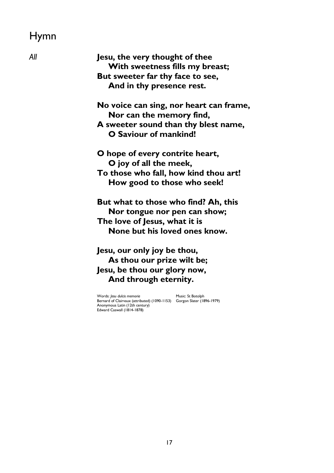## Hymn

| Αll | Jesu, the very thought of thee<br>With sweetness fills my breast;<br>But sweeter far thy face to see,<br>And in thy presence rest.                                                            |
|-----|-----------------------------------------------------------------------------------------------------------------------------------------------------------------------------------------------|
|     | No voice can sing, nor heart can frame,<br>Nor can the memory find,<br>A sweeter sound than thy blest name,                                                                                   |
|     | O Saviour of mankind!<br>O hope of every contrite heart,                                                                                                                                      |
|     | O joy of all the meek,                                                                                                                                                                        |
|     | To those who fall, how kind thou art!<br>How good to those who seek!                                                                                                                          |
|     | But what to those who find? Ah, this<br>Nor tongue nor pen can show;<br>The love of Jesus, what it is<br>None but his loved ones know.                                                        |
|     | Jesu, our only joy be thou,<br>As thou our prize wilt be;                                                                                                                                     |
|     | Jesu, be thou our glory now,                                                                                                                                                                  |
|     | And through eternity.                                                                                                                                                                         |
|     | Words: Jesu dulcis memoria<br>Music: St Botolph<br>Bernard of Clairvaux (attributed) (1090-1153)<br>Gorgon Slater (1896-1979)<br>Anonymous Latin (12th century)<br>Edward Caswall (1814-1878) |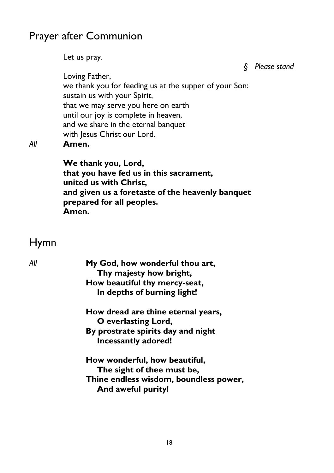### Prayer after Communion

Let us pray.

*§ Please stand*

Loving Father, we thank you for feeding us at the supper of your Son: sustain us with your Spirit, that we may serve you here on earth until our joy is complete in heaven, and we share in the eternal banquet with Jesus Christ our Lord.

*All* **Amen.**

**We thank you, Lord, that you have fed us in this sacrament, united us with Christ, and given us a foretaste of the heavenly banquet prepared for all peoples. Amen.**

### Hymn

| My God, how wonderful thou art,<br>Thy majesty how bright,<br>How beautiful thy mercy-seat,                                 |
|-----------------------------------------------------------------------------------------------------------------------------|
| In depths of burning light!                                                                                                 |
| How dread are thine eternal years,<br>O everlasting Lord,                                                                   |
| By prostrate spirits day and night<br>Incessantly adored!                                                                   |
| How wonderful, how beautiful,<br>The sight of thee must be,<br>Thine endless wisdom, boundless power,<br>And aweful purity! |
|                                                                                                                             |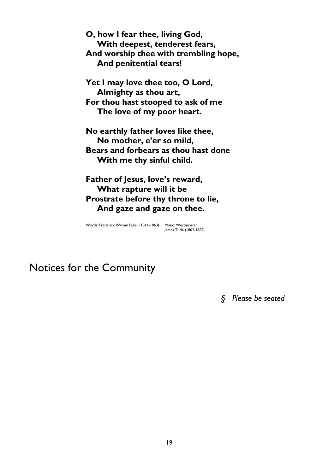**O, how I fear thee, living God, With deepest, tenderest fears, And worship thee with trembling hope, And penitential tears!**

**Yet I may love thee too, O Lord, Almighty as thou art, For thou hast stooped to ask of me The love of my poor heart.**

**No earthly father loves like thee, No mother, e'er so mild, Bears and forbears as thou hast done With me thy sinful child.**

**Father of Jesus, love's reward, What rapture will it be Prostrate before thy throne to lie, And gaze and gaze on thee.**

Words: Frederick William Faber (1814-1863) Music: Westminster James Turle (1802-1882)

Notices for the Community

*§ Please be seated*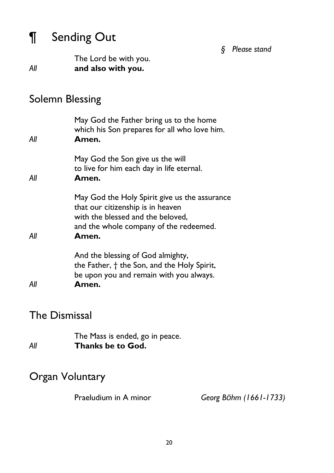# ¶ Sending Out

*§ Please stand*

The Lord be with you. *All* **and also with you.**

### Solemn Blessing

| All | May God the Father bring us to the home<br>which his Son prepares for all who love him.<br>Amen.                                                                           |
|-----|----------------------------------------------------------------------------------------------------------------------------------------------------------------------------|
| All | May God the Son give us the will<br>to live for him each day in life eternal.<br>Amen.                                                                                     |
| All | May God the Holy Spirit give us the assurance<br>that our citizenship is in heaven<br>with the blessed and the beloved,<br>and the whole company of the redeemed.<br>Amen. |
| All | And the blessing of God almighty,<br>the Father, $\dagger$ the Son, and the Holy Spirit,<br>be upon you and remain with you always.<br>Amen.                               |

### The Dismissal

|     | The Mass is ended, go in peace. |
|-----|---------------------------------|
| Αll | Thanks be to God.               |

### Organ Voluntary

Praeludium in A minor *Georg Böhm (1661-1733)*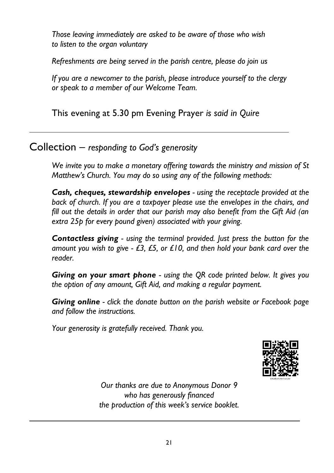*Those leaving immediately are asked to be aware of those who wish to listen to the organ voluntary*

*Refreshments are being served in the parish centre, please do join us*

*If you are a newcomer to the parish, please introduce yourself to the clergy or speak to a member of our Welcome Team.*

This evening at 5.30 pm Evening Prayer *is said in Quire*

Collection – *responding to God's generosity*

*We invite you to make a monetary offering towards the ministry and mission of St Matthew's Church. You may do so using any of the following methods:*

*Cash, cheques, stewardship envelopes - using the receptacle provided at the back of church. If you are a taxpayer please use the envelopes in the chairs, and fill out the details in order that our parish may also benefit from the Gift Aid (an extra 25p for every pound given) associated with your giving.* 

*Contactless giving - using the terminal provided. Just press the button for the amount you wish to give - £3, £5, or £10, and then hold your bank card over the reader.*

*Giving on your smart phone - using the QR code printed below. It gives you the option of any amount, Gift Aid, and making a regular payment.* 

*Giving online - click the donate button on the parish website or Facebook page and follow the instructions.*

*Your generosity is gratefully received. Thank you.*



*Our thanks are due to Anonymous Donor 9 who has generously financed the production of this week's service booklet.*